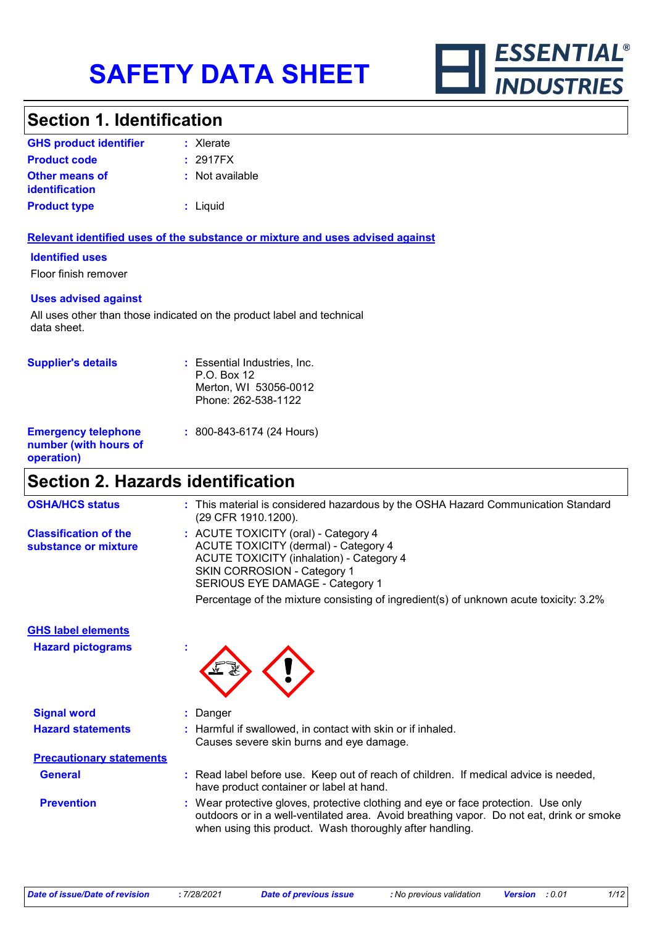

### **Section 1. Identification**

| <b>GHS product identifier</b>                  | $:$ Xlerate     |
|------------------------------------------------|-----------------|
| <b>Product code</b>                            | : 2917FX        |
| <b>Other means of</b><br><i>identification</i> | : Not available |
| <b>Product type</b>                            | : Liquid        |

#### **Relevant identified uses of the substance or mixture and uses advised against**

#### **Identified uses**

Floor finish remover

#### **Uses advised against**

All uses other than those indicated on the product label and technical data sheet.

| <b>Supplier's details</b>                                         | : Essential Industries, Inc.<br>P.O. Box 12<br>Merton, WI 53056-0012<br>Phone: 262-538-1122 |
|-------------------------------------------------------------------|---------------------------------------------------------------------------------------------|
| <b>Emergency telephone</b><br>number (with hours of<br>operation) | $: 800 - 843 - 6174$ (24 Hours)                                                             |

# **Section 2. Hazards identification**

| <b>OSHA/HCS status</b>                               | : This material is considered hazardous by the OSHA Hazard Communication Standard<br>(29 CFR 1910.1200).                                                                                                                                                                                          |
|------------------------------------------------------|---------------------------------------------------------------------------------------------------------------------------------------------------------------------------------------------------------------------------------------------------------------------------------------------------|
| <b>Classification of the</b><br>substance or mixture | : ACUTE TOXICITY (oral) - Category 4<br>ACUTE TOXICITY (dermal) - Category 4<br><b>ACUTE TOXICITY (inhalation) - Category 4</b><br><b>SKIN CORROSION - Category 1</b><br>SERIOUS EYE DAMAGE - Category 1<br>Percentage of the mixture consisting of ingredient(s) of unknown acute toxicity: 3.2% |

#### **GHS label elements**

**Hazard pictograms :**



| <b>Signal word</b>              | : Danger                                                                                                                                                                                                                                   |  |
|---------------------------------|--------------------------------------------------------------------------------------------------------------------------------------------------------------------------------------------------------------------------------------------|--|
| <b>Hazard statements</b>        | : Harmful if swallowed, in contact with skin or if inhaled.<br>Causes severe skin burns and eye damage.                                                                                                                                    |  |
| <b>Precautionary statements</b> |                                                                                                                                                                                                                                            |  |
| <b>General</b>                  | : Read label before use. Keep out of reach of children. If medical advice is needed,<br>have product container or label at hand.                                                                                                           |  |
| <b>Prevention</b>               | : Wear protective gloves, protective clothing and eye or face protection. Use only<br>outdoors or in a well-ventilated area. Avoid breathing vapor. Do not eat, drink or smoke<br>when using this product. Wash thoroughly after handling. |  |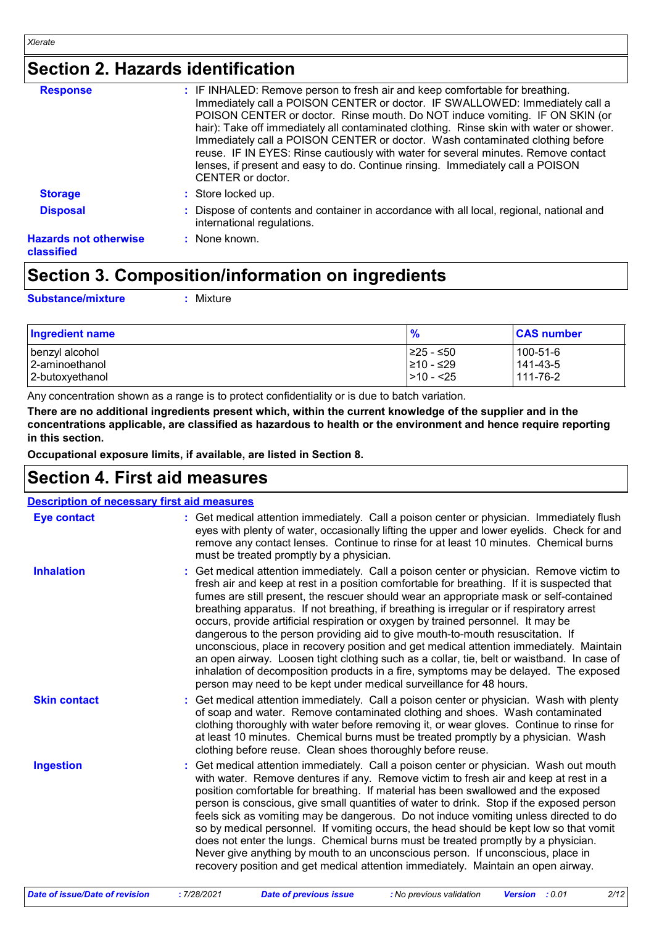# **Section 2. Hazards identification**

| <b>Response</b>                            | : IF INHALED: Remove person to fresh air and keep comfortable for breathing.<br>Immediately call a POISON CENTER or doctor. IF SWALLOWED: Immediately call a                                                                                                                                                                                                                                                                                          |
|--------------------------------------------|-------------------------------------------------------------------------------------------------------------------------------------------------------------------------------------------------------------------------------------------------------------------------------------------------------------------------------------------------------------------------------------------------------------------------------------------------------|
|                                            | POISON CENTER or doctor. Rinse mouth. Do NOT induce vomiting. IF ON SKIN (or<br>hair): Take off immediately all contaminated clothing. Rinse skin with water or shower.<br>Immediately call a POISON CENTER or doctor. Wash contaminated clothing before<br>reuse. IF IN EYES: Rinse cautiously with water for several minutes. Remove contact<br>lenses, if present and easy to do. Continue rinsing. Immediately call a POISON<br>CENTER or doctor. |
| <b>Storage</b>                             | : Store locked up.                                                                                                                                                                                                                                                                                                                                                                                                                                    |
| <b>Disposal</b>                            | : Dispose of contents and container in accordance with all local, regional, national and<br>international regulations.                                                                                                                                                                                                                                                                                                                                |
| <b>Hazards not otherwise</b><br>classified | : None known.                                                                                                                                                                                                                                                                                                                                                                                                                                         |

### **Section 3. Composition/information on ingredients**

**Substance/mixture :**

: Mixture

| <b>Ingredient name</b> | $\frac{9}{6}$ | <b>CAS number</b> |
|------------------------|---------------|-------------------|
| ∣benzyl alcohol        | I≥25 - ≤50    | 100-51-6          |
| 2-aminoethanol         | 210 - ≤29     | 141-43-5          |
| 2-butoxyethanol        | $ >10 - 25$   | 111-76-2          |

Any concentration shown as a range is to protect confidentiality or is due to batch variation.

**There are no additional ingredients present which, within the current knowledge of the supplier and in the concentrations applicable, are classified as hazardous to health or the environment and hence require reporting in this section.**

**Occupational exposure limits, if available, are listed in Section 8.**

### **Section 4. First aid measures**

| <b>Description of necessary first aid measures</b> |                                                                                                                                                                                                                                                                                                                                                                                                                                                                                                                                                                                                                                                                                                                                                                                                                                                                                                              |
|----------------------------------------------------|--------------------------------------------------------------------------------------------------------------------------------------------------------------------------------------------------------------------------------------------------------------------------------------------------------------------------------------------------------------------------------------------------------------------------------------------------------------------------------------------------------------------------------------------------------------------------------------------------------------------------------------------------------------------------------------------------------------------------------------------------------------------------------------------------------------------------------------------------------------------------------------------------------------|
| <b>Eye contact</b>                                 | : Get medical attention immediately. Call a poison center or physician. Immediately flush<br>eyes with plenty of water, occasionally lifting the upper and lower eyelids. Check for and<br>remove any contact lenses. Continue to rinse for at least 10 minutes. Chemical burns<br>must be treated promptly by a physician.                                                                                                                                                                                                                                                                                                                                                                                                                                                                                                                                                                                  |
| <b>Inhalation</b>                                  | : Get medical attention immediately. Call a poison center or physician. Remove victim to<br>fresh air and keep at rest in a position comfortable for breathing. If it is suspected that<br>fumes are still present, the rescuer should wear an appropriate mask or self-contained<br>breathing apparatus. If not breathing, if breathing is irregular or if respiratory arrest<br>occurs, provide artificial respiration or oxygen by trained personnel. It may be<br>dangerous to the person providing aid to give mouth-to-mouth resuscitation. If<br>unconscious, place in recovery position and get medical attention immediately. Maintain<br>an open airway. Loosen tight clothing such as a collar, tie, belt or waistband. In case of<br>inhalation of decomposition products in a fire, symptoms may be delayed. The exposed<br>person may need to be kept under medical surveillance for 48 hours. |
| <b>Skin contact</b>                                | : Get medical attention immediately. Call a poison center or physician. Wash with plenty<br>of soap and water. Remove contaminated clothing and shoes. Wash contaminated<br>clothing thoroughly with water before removing it, or wear gloves. Continue to rinse for<br>at least 10 minutes. Chemical burns must be treated promptly by a physician. Wash<br>clothing before reuse. Clean shoes thoroughly before reuse.                                                                                                                                                                                                                                                                                                                                                                                                                                                                                     |
| <b>Ingestion</b>                                   | : Get medical attention immediately. Call a poison center or physician. Wash out mouth<br>with water. Remove dentures if any. Remove victim to fresh air and keep at rest in a<br>position comfortable for breathing. If material has been swallowed and the exposed<br>person is conscious, give small quantities of water to drink. Stop if the exposed person<br>feels sick as vomiting may be dangerous. Do not induce vomiting unless directed to do<br>so by medical personnel. If vomiting occurs, the head should be kept low so that vomit<br>does not enter the lungs. Chemical burns must be treated promptly by a physician.<br>Never give anything by mouth to an unconscious person. If unconscious, place in<br>recovery position and get medical attention immediately. Maintain an open airway.                                                                                             |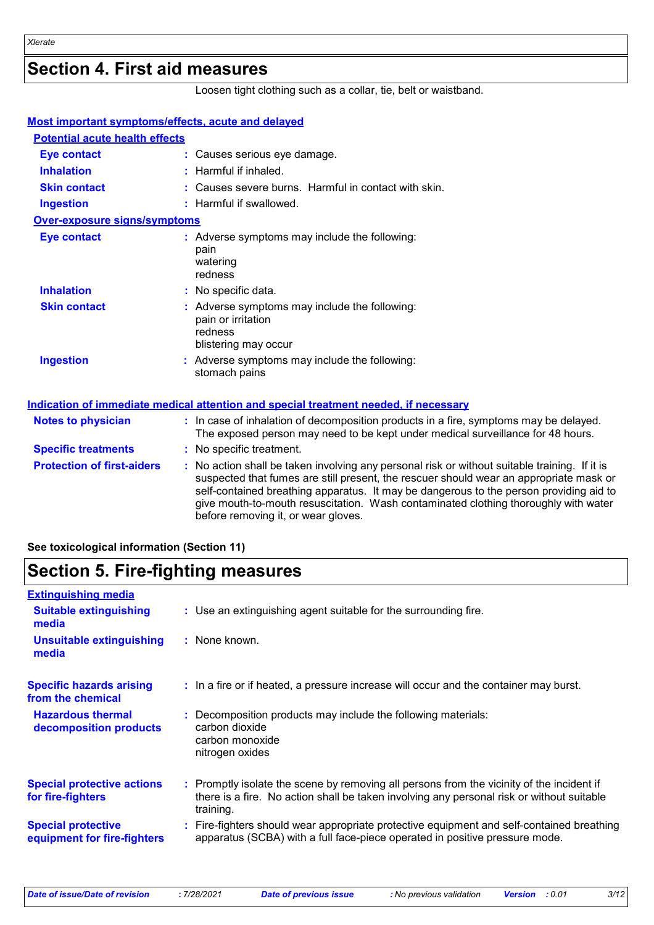### **Section 4. First aid measures**

Loosen tight clothing such as a collar, tie, belt or waistband.

| <b>Most important symptoms/effects, acute and delayed</b> |                                                                                                                                                                                                                                                                                                                                                                                                                 |
|-----------------------------------------------------------|-----------------------------------------------------------------------------------------------------------------------------------------------------------------------------------------------------------------------------------------------------------------------------------------------------------------------------------------------------------------------------------------------------------------|
| <b>Potential acute health effects</b>                     |                                                                                                                                                                                                                                                                                                                                                                                                                 |
| <b>Eye contact</b>                                        | : Causes serious eye damage.                                                                                                                                                                                                                                                                                                                                                                                    |
| <b>Inhalation</b>                                         | : Harmful if inhaled.                                                                                                                                                                                                                                                                                                                                                                                           |
| <b>Skin contact</b>                                       | : Causes severe burns. Harmful in contact with skin.                                                                                                                                                                                                                                                                                                                                                            |
| <b>Ingestion</b>                                          | : Harmful if swallowed.                                                                                                                                                                                                                                                                                                                                                                                         |
| <b>Over-exposure signs/symptoms</b>                       |                                                                                                                                                                                                                                                                                                                                                                                                                 |
| <b>Eye contact</b>                                        | : Adverse symptoms may include the following:<br>pain<br>watering<br>redness                                                                                                                                                                                                                                                                                                                                    |
| <b>Inhalation</b>                                         | : No specific data.                                                                                                                                                                                                                                                                                                                                                                                             |
| <b>Skin contact</b>                                       | : Adverse symptoms may include the following:<br>pain or irritation<br>redness<br>blistering may occur                                                                                                                                                                                                                                                                                                          |
| <b>Ingestion</b>                                          | Adverse symptoms may include the following:<br>stomach pains                                                                                                                                                                                                                                                                                                                                                    |
|                                                           | <u>Indication of immediate medical attention and special treatment needed, if necessary</u>                                                                                                                                                                                                                                                                                                                     |
| <b>Notes to physician</b>                                 | : In case of inhalation of decomposition products in a fire, symptoms may be delayed.<br>The exposed person may need to be kept under medical surveillance for 48 hours.                                                                                                                                                                                                                                        |
| <b>Specific treatments</b>                                | : No specific treatment.                                                                                                                                                                                                                                                                                                                                                                                        |
| <b>Protection of first-aiders</b>                         | : No action shall be taken involving any personal risk or without suitable training. If it is<br>suspected that fumes are still present, the rescuer should wear an appropriate mask or<br>self-contained breathing apparatus. It may be dangerous to the person providing aid to<br>give mouth-to-mouth resuscitation. Wash contaminated clothing thoroughly with water<br>before removing it, or wear gloves. |

#### **See toxicological information (Section 11)**

### **Section 5. Fire-fighting measures**

| <b>Extinguishing media</b>                               |                                                      |                                                                                                                                                                                        |
|----------------------------------------------------------|------------------------------------------------------|----------------------------------------------------------------------------------------------------------------------------------------------------------------------------------------|
| <b>Suitable extinguishing</b><br>media                   |                                                      | : Use an extinguishing agent suitable for the surrounding fire.                                                                                                                        |
| <b>Unsuitable extinguishing</b><br>media                 | : None known.                                        |                                                                                                                                                                                        |
| <b>Specific hazards arising</b><br>from the chemical     |                                                      | : In a fire or if heated, a pressure increase will occur and the container may burst.                                                                                                  |
| <b>Hazardous thermal</b><br>decomposition products       | carbon dioxide<br>carbon monoxide<br>nitrogen oxides | : Decomposition products may include the following materials:                                                                                                                          |
| <b>Special protective actions</b><br>for fire-fighters   | training.                                            | : Promptly isolate the scene by removing all persons from the vicinity of the incident if<br>there is a fire. No action shall be taken involving any personal risk or without suitable |
| <b>Special protective</b><br>equipment for fire-fighters |                                                      | Fire-fighters should wear appropriate protective equipment and self-contained breathing<br>apparatus (SCBA) with a full face-piece operated in positive pressure mode.                 |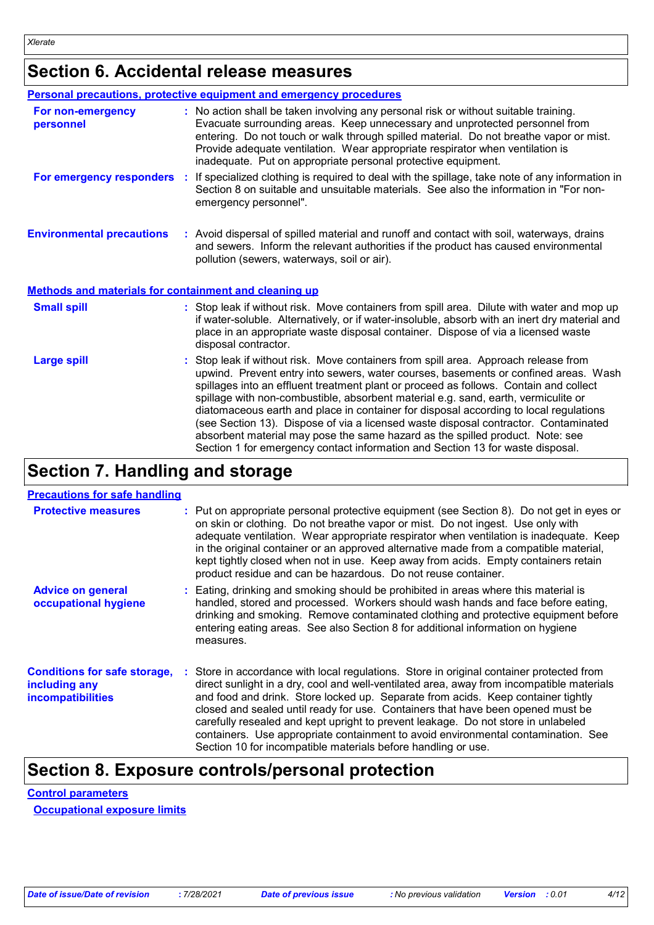# **Section 6. Accidental release measures**

|                                                              | <b>Personal precautions, protective equipment and emergency procedures</b>                                                                                                                                                                                                                                                                                                                                                                                                                                                                                                                                                                                                                                   |
|--------------------------------------------------------------|--------------------------------------------------------------------------------------------------------------------------------------------------------------------------------------------------------------------------------------------------------------------------------------------------------------------------------------------------------------------------------------------------------------------------------------------------------------------------------------------------------------------------------------------------------------------------------------------------------------------------------------------------------------------------------------------------------------|
| For non-emergency<br>personnel                               | : No action shall be taken involving any personal risk or without suitable training.<br>Evacuate surrounding areas. Keep unnecessary and unprotected personnel from<br>entering. Do not touch or walk through spilled material. Do not breathe vapor or mist.<br>Provide adequate ventilation. Wear appropriate respirator when ventilation is<br>inadequate. Put on appropriate personal protective equipment.                                                                                                                                                                                                                                                                                              |
|                                                              | For emergency responders : If specialized clothing is required to deal with the spillage, take note of any information in<br>Section 8 on suitable and unsuitable materials. See also the information in "For non-<br>emergency personnel".                                                                                                                                                                                                                                                                                                                                                                                                                                                                  |
| <b>Environmental precautions</b>                             | : Avoid dispersal of spilled material and runoff and contact with soil, waterways, drains<br>and sewers. Inform the relevant authorities if the product has caused environmental<br>pollution (sewers, waterways, soil or air).                                                                                                                                                                                                                                                                                                                                                                                                                                                                              |
| <b>Methods and materials for containment and cleaning up</b> |                                                                                                                                                                                                                                                                                                                                                                                                                                                                                                                                                                                                                                                                                                              |
| <b>Small spill</b>                                           | : Stop leak if without risk. Move containers from spill area. Dilute with water and mop up<br>if water-soluble. Alternatively, or if water-insoluble, absorb with an inert dry material and<br>place in an appropriate waste disposal container. Dispose of via a licensed waste<br>disposal contractor.                                                                                                                                                                                                                                                                                                                                                                                                     |
| <b>Large spill</b>                                           | : Stop leak if without risk. Move containers from spill area. Approach release from<br>upwind. Prevent entry into sewers, water courses, basements or confined areas. Wash<br>spillages into an effluent treatment plant or proceed as follows. Contain and collect<br>spillage with non-combustible, absorbent material e.g. sand, earth, vermiculite or<br>diatomaceous earth and place in container for disposal according to local regulations<br>(see Section 13). Dispose of via a licensed waste disposal contractor. Contaminated<br>absorbent material may pose the same hazard as the spilled product. Note: see<br>Section 1 for emergency contact information and Section 13 for waste disposal. |

## **Section 7. Handling and storage**

| <b>Protective measures</b>                                                       | : Put on appropriate personal protective equipment (see Section 8). Do not get in eyes or<br>on skin or clothing. Do not breathe vapor or mist. Do not ingest. Use only with<br>adequate ventilation. Wear appropriate respirator when ventilation is inadequate. Keep<br>in the original container or an approved alternative made from a compatible material,<br>kept tightly closed when not in use. Keep away from acids. Empty containers retain<br>product residue and can be hazardous. Do not reuse container.                                                                                  |
|----------------------------------------------------------------------------------|---------------------------------------------------------------------------------------------------------------------------------------------------------------------------------------------------------------------------------------------------------------------------------------------------------------------------------------------------------------------------------------------------------------------------------------------------------------------------------------------------------------------------------------------------------------------------------------------------------|
| <b>Advice on general</b><br>occupational hygiene                                 | : Eating, drinking and smoking should be prohibited in areas where this material is<br>handled, stored and processed. Workers should wash hands and face before eating,<br>drinking and smoking. Remove contaminated clothing and protective equipment before<br>entering eating areas. See also Section 8 for additional information on hygiene<br>measures.                                                                                                                                                                                                                                           |
| <b>Conditions for safe storage,</b><br>including any<br><b>incompatibilities</b> | : Store in accordance with local regulations. Store in original container protected from<br>direct sunlight in a dry, cool and well-ventilated area, away from incompatible materials<br>and food and drink. Store locked up. Separate from acids. Keep container tightly<br>closed and sealed until ready for use. Containers that have been opened must be<br>carefully resealed and kept upright to prevent leakage. Do not store in unlabeled<br>containers. Use appropriate containment to avoid environmental contamination. See<br>Section 10 for incompatible materials before handling or use. |

### **Section 8. Exposure controls/personal protection**

**Control parameters Occupational exposure limits**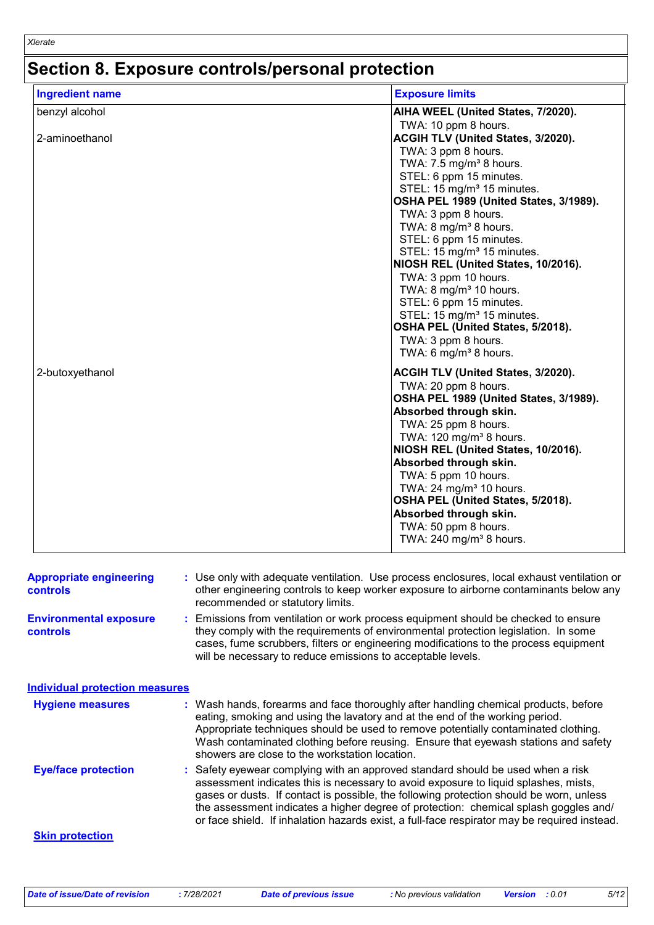# **Section 8. Exposure controls/personal protection**

| <b>Ingredient name</b>                     | <b>Exposure limits</b>                                                                                                                                                                                                                                                                                                                                                                                                                                                                                                                                                                                       |
|--------------------------------------------|--------------------------------------------------------------------------------------------------------------------------------------------------------------------------------------------------------------------------------------------------------------------------------------------------------------------------------------------------------------------------------------------------------------------------------------------------------------------------------------------------------------------------------------------------------------------------------------------------------------|
| benzyl alcohol                             | AIHA WEEL (United States, 7/2020).                                                                                                                                                                                                                                                                                                                                                                                                                                                                                                                                                                           |
| 2-aminoethanol                             | TWA: 10 ppm 8 hours.<br>ACGIH TLV (United States, 3/2020).<br>TWA: 3 ppm 8 hours.<br>TWA: $7.5 \text{ mg/m}^3$ 8 hours.<br>STEL: 6 ppm 15 minutes.<br>STEL: 15 mg/m <sup>3</sup> 15 minutes.<br>OSHA PEL 1989 (United States, 3/1989).<br>TWA: 3 ppm 8 hours.<br>TWA: 8 mg/m <sup>3</sup> 8 hours.<br>STEL: 6 ppm 15 minutes.<br>STEL: 15 mg/m <sup>3</sup> 15 minutes.<br>NIOSH REL (United States, 10/2016).<br>TWA: 3 ppm 10 hours.<br>TWA: $8 \text{ mg/m}^3$ 10 hours.<br>STEL: 6 ppm 15 minutes.<br>STEL: 15 mg/m <sup>3</sup> 15 minutes.<br>OSHA PEL (United States, 5/2018).<br>TWA: 3 ppm 8 hours. |
| 2-butoxyethanol                            | TWA: 6 mg/m <sup>3</sup> 8 hours.<br><b>ACGIH TLV (United States, 3/2020).</b><br>TWA: 20 ppm 8 hours.<br>OSHA PEL 1989 (United States, 3/1989).<br>Absorbed through skin.<br>TWA: 25 ppm 8 hours.<br>TWA: 120 mg/m <sup>3</sup> 8 hours.<br>NIOSH REL (United States, 10/2016).<br>Absorbed through skin.<br>TWA: 5 ppm 10 hours.<br>TWA: $24 \text{ mg/m}^3$ 10 hours.<br>OSHA PEL (United States, 5/2018).<br>Absorbed through skin.<br>TWA: 50 ppm 8 hours.<br>TWA: 240 mg/m <sup>3</sup> 8 hours.                                                                                                       |
| <b>Appropriate engineering</b><br>controls | : Use only with adequate ventilation. Use process enclosures, local exhaust ventilation or<br>other engineering controls to keep worker exposure to airborne contaminants below any<br>recommended or statutory limits.                                                                                                                                                                                                                                                                                                                                                                                      |
| <b>Environmental exposure</b><br>controls  | : Emissions from ventilation or work process equipment should be checked to ensure<br>they comply with the requirements of environmental protection legislation. In some<br>cases, fume scrubbers, filters or engineering modifications to the process equipment<br>will be necessary to reduce emissions to acceptable levels.                                                                                                                                                                                                                                                                              |
| <b>Individual protection measures</b>      |                                                                                                                                                                                                                                                                                                                                                                                                                                                                                                                                                                                                              |
| <b>Hygiene measures</b>                    | : Wash hands, forearms and face thoroughly after handling chemical products, before<br>eating, smoking and using the lavatory and at the end of the working period.<br>Appropriate techniques should be used to remove potentially contaminated clothing.<br>Wash contaminated clothing before reusing. Ensure that eyewash stations and safety<br>showers are close to the workstation location.                                                                                                                                                                                                            |
| <b>Eye/face protection</b>                 | : Safety eyewear complying with an approved standard should be used when a risk<br>assessment indicates this is necessary to avoid exposure to liquid splashes, mists,<br>gases or dusts. If contact is possible, the following protection should be worn, unless<br>the assessment indicates a higher degree of protection: chemical splash goggles and/<br>or face shield. If inhalation hazards exist, a full-face respirator may be required instead.                                                                                                                                                    |

#### **Skin protection**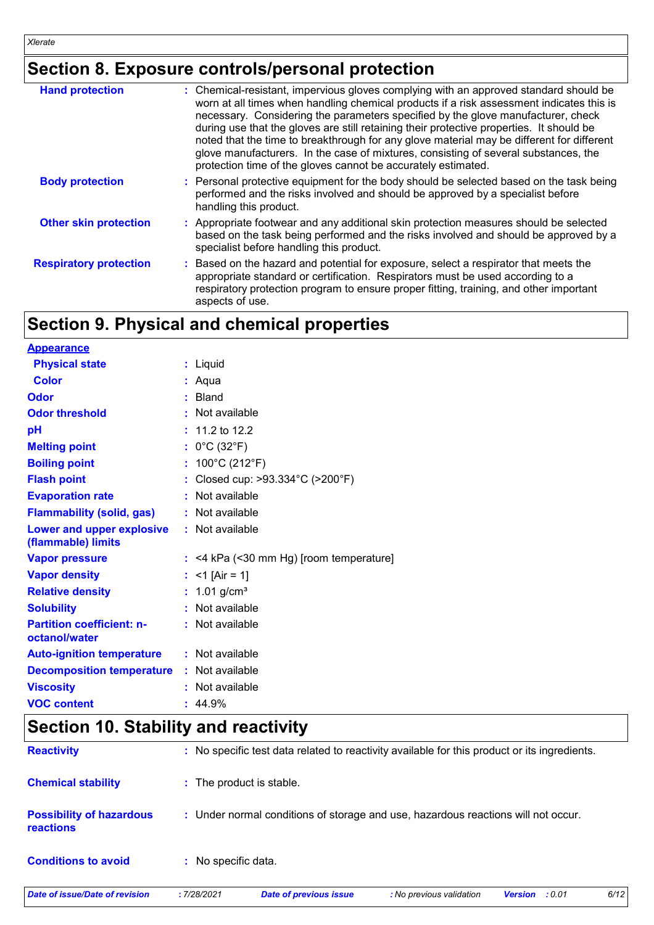# **Section 8. Exposure controls/personal protection**

| <b>Hand protection</b>        | : Chemical-resistant, impervious gloves complying with an approved standard should be<br>worn at all times when handling chemical products if a risk assessment indicates this is<br>necessary. Considering the parameters specified by the glove manufacturer, check<br>during use that the gloves are still retaining their protective properties. It should be<br>noted that the time to breakthrough for any glove material may be different for different<br>glove manufacturers. In the case of mixtures, consisting of several substances, the<br>protection time of the gloves cannot be accurately estimated. |
|-------------------------------|------------------------------------------------------------------------------------------------------------------------------------------------------------------------------------------------------------------------------------------------------------------------------------------------------------------------------------------------------------------------------------------------------------------------------------------------------------------------------------------------------------------------------------------------------------------------------------------------------------------------|
| <b>Body protection</b>        | : Personal protective equipment for the body should be selected based on the task being<br>performed and the risks involved and should be approved by a specialist before<br>handling this product.                                                                                                                                                                                                                                                                                                                                                                                                                    |
| <b>Other skin protection</b>  | : Appropriate footwear and any additional skin protection measures should be selected<br>based on the task being performed and the risks involved and should be approved by a<br>specialist before handling this product.                                                                                                                                                                                                                                                                                                                                                                                              |
| <b>Respiratory protection</b> | : Based on the hazard and potential for exposure, select a respirator that meets the<br>appropriate standard or certification. Respirators must be used according to a<br>respiratory protection program to ensure proper fitting, training, and other important<br>aspects of use.                                                                                                                                                                                                                                                                                                                                    |

# **Section 9. Physical and chemical properties**

| <b>Appearance</b>                                 |                                           |
|---------------------------------------------------|-------------------------------------------|
| <b>Physical state</b>                             | : Liquid                                  |
| <b>Color</b>                                      | : Aqua                                    |
| Odor                                              | : Bland                                   |
| <b>Odor threshold</b>                             | : Not available                           |
| pH                                                | $: 11.2$ to 12.2                          |
| <b>Melting point</b>                              | : $0^{\circ}$ C (32 $^{\circ}$ F)         |
| <b>Boiling point</b>                              | : $100^{\circ}$ C (212 $^{\circ}$ F)      |
| <b>Flash point</b>                                | : Closed cup: >93.334°C (>200°F)          |
| <b>Evaporation rate</b>                           | : Not available                           |
| <b>Flammability (solid, gas)</b>                  | : Not available                           |
| Lower and upper explosive<br>(flammable) limits   | : Not available                           |
| <b>Vapor pressure</b>                             | $:$ <4 kPa (<30 mm Hg) [room temperature] |
| <b>Vapor density</b>                              | : <1 [Air = 1]                            |
| <b>Relative density</b>                           | : $1.01$ g/cm <sup>3</sup>                |
| <b>Solubility</b>                                 | : Not available                           |
| <b>Partition coefficient: n-</b><br>octanol/water | : Not available                           |
| <b>Auto-ignition temperature</b>                  | : Not available                           |
| <b>Decomposition temperature</b>                  | : Not available                           |
| <b>Viscosity</b>                                  | : Not available                           |
| <b>VOC content</b>                                | : 44.9%                                   |

# **Section 10. Stability and reactivity**

| <b>Date of issue/Date of revision</b>        | :7/28/2021          | <b>Date of previous issue</b>                                                                | : No previous validation | : 0.01<br><b>Version</b> | 6/12 |
|----------------------------------------------|---------------------|----------------------------------------------------------------------------------------------|--------------------------|--------------------------|------|
| <b>Conditions to avoid</b>                   | : No specific data. |                                                                                              |                          |                          |      |
| <b>Possibility of hazardous</b><br>reactions |                     | : Under normal conditions of storage and use, hazardous reactions will not occur.            |                          |                          |      |
| <b>Chemical stability</b>                    |                     | : The product is stable.                                                                     |                          |                          |      |
| <b>Reactivity</b>                            |                     | : No specific test data related to reactivity available for this product or its ingredients. |                          |                          |      |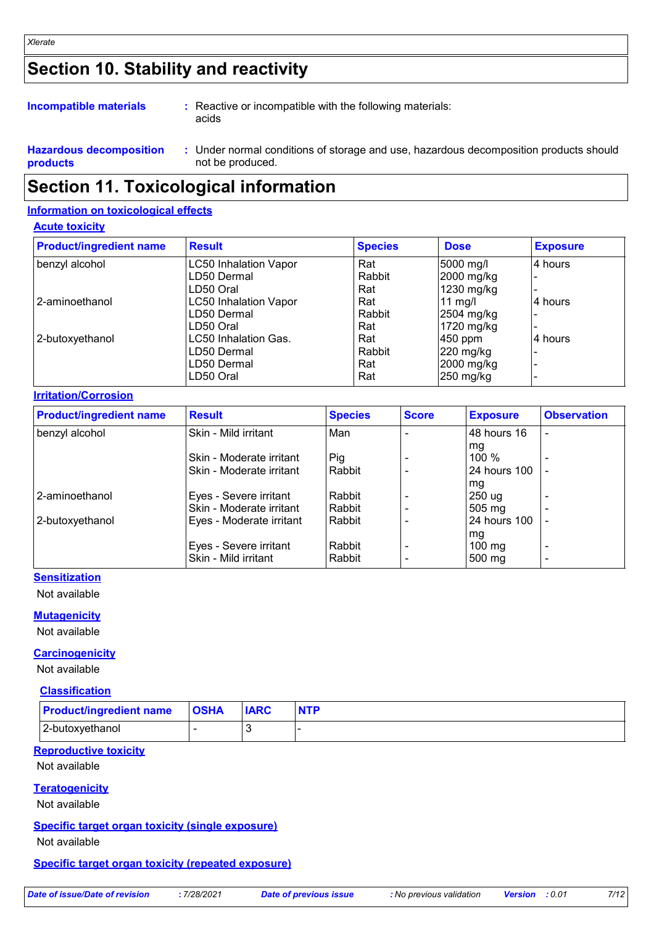# **Section 10. Stability and reactivity**

#### **Incompatible materials :**

Reactive or incompatible with the following materials: acids

**Hazardous decomposition products** Under normal conditions of storage and use, hazardous decomposition products should **:** not be produced.

### **Section 11. Toxicological information**

#### **Information on toxicological effects**

#### **Acute toxicity**

| <b>Product/ingredient name</b> | <b>Result</b>                | <b>Species</b> | <b>Dose</b>       | <b>Exposure</b> |
|--------------------------------|------------------------------|----------------|-------------------|-----------------|
| benzyl alcohol                 | <b>LC50 Inhalation Vapor</b> | Rat            | 5000 mg/l         | 4 hours         |
|                                | LD50 Dermal                  | Rabbit         | 2000 mg/kg        |                 |
|                                | LD50 Oral                    | Rat            | 1230 mg/kg        |                 |
| l 2-aminoethanol               | <b>LC50 Inhalation Vapor</b> | Rat            | $11 \text{ mg/l}$ | 14 hours        |
|                                | LD50 Dermal                  | Rabbit         | $2504$ mg/kg      |                 |
|                                | LD50 Oral                    | Rat            | 1720 mg/kg        |                 |
| 2-butoxyethanol                | LC50 Inhalation Gas.         | Rat            | $450$ ppm         | 4 hours         |
|                                | LD50 Dermal                  | Rabbit         | $220$ mg/kg       |                 |
|                                | LD50 Dermal                  | Rat            | 2000 mg/kg        |                 |
|                                | LD50 Oral                    | Rat            | 250 mg/kg         |                 |

#### **Irritation/Corrosion**

| <b>Product/ingredient name</b> | <b>Result</b>            | <b>Species</b> | <b>Score</b> | <b>Exposure</b>  | <b>Observation</b>       |
|--------------------------------|--------------------------|----------------|--------------|------------------|--------------------------|
| benzyl alcohol                 | Skin - Mild irritant     | Man            |              | 48 hours 16      | ٠                        |
|                                |                          |                |              | . mg             |                          |
|                                | Skin - Moderate irritant | Pig            |              | 100 %            | ٠                        |
|                                | Skin - Moderate irritant | Rabbit         |              | 24 hours 100     |                          |
|                                |                          |                |              | mg               |                          |
| 2-aminoethanol                 | Eyes - Severe irritant   | Rabbit         |              | 250 ug           |                          |
|                                | Skin - Moderate irritant | l Rabbit       |              | $505 \text{ mg}$ | $\overline{\phantom{a}}$ |
| 2-butoxyethanol                | Eyes - Moderate irritant | l Rabbit       |              | 24 hours 100     |                          |
|                                |                          |                |              | mg               |                          |
|                                | Eyes - Severe irritant   | Rabbit         |              | $100 \text{ mg}$ | ٠                        |
|                                | Skin - Mild irritant     | Rabbit         |              | $500 \text{ mg}$ | ٠                        |

#### **Sensitization**

Not available

#### **Mutagenicity**

#### Not available

**Carcinogenicity**

Not available

#### **Classification**

| <b>Product/ingredient name</b> | <b>OSHA</b> | <b>IARC</b> | <b>NTP</b> |
|--------------------------------|-------------|-------------|------------|
| 2-butoxyethanol                |             |             |            |

### **Reproductive toxicity**

Not available

#### **Teratogenicity**

Not available

#### **Specific target organ toxicity (single exposure)**

Not available

#### **Specific target organ toxicity (repeated exposure)**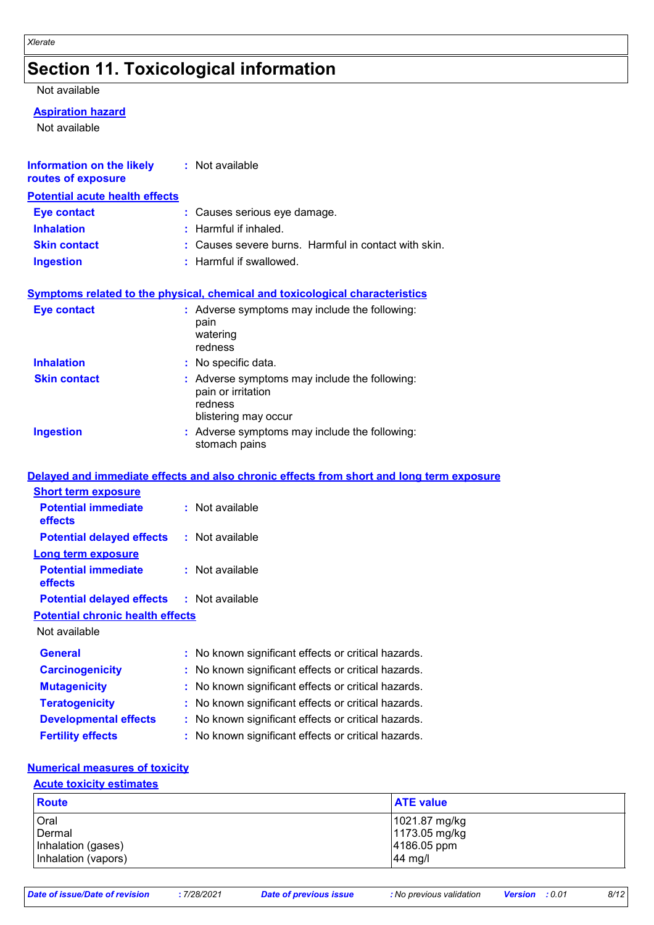# **Section 11. Toxicological information**

#### Not available

#### **Aspiration hazard**

Not available

| Information on the likely<br>routes of exposure | : Not available                                                                                        |
|-------------------------------------------------|--------------------------------------------------------------------------------------------------------|
| <b>Potential acute health effects</b>           |                                                                                                        |
| <b>Eye contact</b>                              | : Causes serious eye damage.                                                                           |
| <b>Inhalation</b>                               | $:$ Harmful if inhaled.                                                                                |
| <b>Skin contact</b>                             | : Causes severe burns. Harmful in contact with skin.                                                   |
| <b>Ingestion</b>                                | : Harmful if swallowed.                                                                                |
|                                                 | <b>Symptoms related to the physical, chemical and toxicological characteristics</b>                    |
| <b>Eye contact</b>                              | : Adverse symptoms may include the following:<br>pain<br>watering<br>redness                           |
| <b>Inhalation</b>                               | : No specific data.                                                                                    |
| <b>Skin contact</b>                             | : Adverse symptoms may include the following:<br>pain or irritation<br>redness<br>blistering may occur |
| <b>Ingestion</b>                                | : Adverse symptoms may include the following:<br>stomach pains                                         |
|                                                 | Delayed and immediate effects and also chronic effects from short and long term exposure               |
| <b>Short term exposure</b>                      |                                                                                                        |
| <b>Potential immediate</b><br>effects           | : Not available                                                                                        |
| <b>Potential delayed effects</b>                | : Not available                                                                                        |
| <b>Long term exposure</b>                       |                                                                                                        |
| <b>Potential immediate</b><br>effects           | : Not available                                                                                        |
| <b>Potential delayed effects</b>                | : Not available                                                                                        |
| <b>Potential chronic health effects</b>         |                                                                                                        |
| Not available                                   |                                                                                                        |
| <b>General</b>                                  | No known significant effects or critical hazards.                                                      |
| <b>Carcinogenicity</b>                          | No known significant effects or critical hazards.                                                      |
| <b>Mutagenicity</b>                             | No known significant effects or critical hazards.                                                      |
| <b>Teratogenicity</b>                           | No known significant effects or critical hazards.                                                      |
| <b>Developmental effects</b>                    | No known significant effects or critical hazards.                                                      |
| <b>Fertility effects</b>                        | No known significant effects or critical hazards.                                                      |

### **Numerical measures of toxicity**

#### **Acute toxicity estimates**

| <b>Route</b>        | <b>ATE value</b> |
|---------------------|------------------|
| <b>Oral</b>         | 1021.87 mg/kg    |
| Dermal              | 1173.05 mg/kg    |
| Inhalation (gases)  | 4186.05 ppm      |
| Inhalation (vapors) | 44 mg/l          |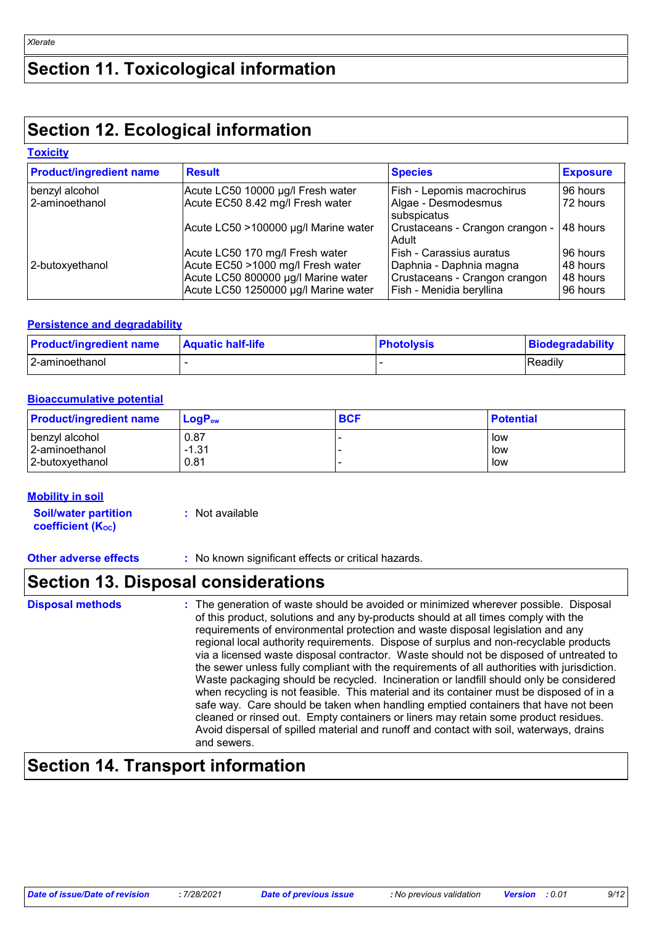# **Section 11. Toxicological information**

# **Section 12. Ecological information**

### **Toxicity**

| <b>Product/ingredient name</b> | <b>Result</b>                                                               | <b>Species</b>                                            | <b>Exposure</b>      |
|--------------------------------|-----------------------------------------------------------------------------|-----------------------------------------------------------|----------------------|
| benzyl alcohol                 | Acute LC50 10000 µg/l Fresh water                                           | Fish - Lepomis macrochirus                                | 96 hours             |
| 2-aminoethanol                 | Acute EC50 8.42 mg/l Fresh water                                            | Algae - Desmodesmus<br>subspicatus                        | 72 hours             |
|                                | Acute LC50 >100000 µg/l Marine water                                        | Crustaceans - Crangon crangon -<br>Adult                  | 48 hours             |
|                                | Acute LC50 170 mg/l Fresh water                                             | Fish - Carassius auratus                                  | 96 hours             |
| 2-butoxyethanol                | Acute EC50 >1000 mg/l Fresh water                                           | Daphnia - Daphnia magna                                   | 48 hours             |
|                                | Acute LC50 800000 µg/l Marine water<br>Acute LC50 1250000 µg/l Marine water | Crustaceans - Crangon crangon<br>Fish - Menidia beryllina | 48 hours<br>96 hours |

#### **Persistence and degradability**

| <b>Product/ingredient name</b> | <b>Aquatic half-life</b> | <b>Photolysis</b> | Biodegradability |
|--------------------------------|--------------------------|-------------------|------------------|
| 2-aminoethanol                 |                          |                   | Readily          |

#### **Bioaccumulative potential**

| <b>Product/ingredient name</b> | $\mathsf{LogP}_\mathsf{ow}$ | <b>BCF</b> | <b>Potential</b> |
|--------------------------------|-----------------------------|------------|------------------|
| benzyl alcohol                 | 0.87                        |            | low              |
| 2-aminoethanol                 | $-1.31$                     |            | low              |
| 2-butoxyethanol                | 0.81                        |            | low              |

#### **Mobility in soil**

**Soil/water partition coefficient (KOC) :** Not available

**Other adverse effects** : No known significant effects or critical hazards.

### **Section 13. Disposal considerations**

| <b>Disposal methods</b> | : The generation of waste should be avoided or minimized wherever possible. Disposal<br>of this product, solutions and any by-products should at all times comply with the<br>requirements of environmental protection and waste disposal legislation and any<br>regional local authority requirements. Dispose of surplus and non-recyclable products<br>via a licensed waste disposal contractor. Waste should not be disposed of untreated to<br>the sewer unless fully compliant with the requirements of all authorities with jurisdiction.<br>Waste packaging should be recycled. Incineration or landfill should only be considered<br>when recycling is not feasible. This material and its container must be disposed of in a<br>safe way. Care should be taken when handling emptied containers that have not been<br>cleaned or rinsed out. Empty containers or liners may retain some product residues.<br>Avoid dispersal of spilled material and runoff and contact with soil, waterways, drains<br>and sewers. |
|-------------------------|-------------------------------------------------------------------------------------------------------------------------------------------------------------------------------------------------------------------------------------------------------------------------------------------------------------------------------------------------------------------------------------------------------------------------------------------------------------------------------------------------------------------------------------------------------------------------------------------------------------------------------------------------------------------------------------------------------------------------------------------------------------------------------------------------------------------------------------------------------------------------------------------------------------------------------------------------------------------------------------------------------------------------------|
|-------------------------|-------------------------------------------------------------------------------------------------------------------------------------------------------------------------------------------------------------------------------------------------------------------------------------------------------------------------------------------------------------------------------------------------------------------------------------------------------------------------------------------------------------------------------------------------------------------------------------------------------------------------------------------------------------------------------------------------------------------------------------------------------------------------------------------------------------------------------------------------------------------------------------------------------------------------------------------------------------------------------------------------------------------------------|

# **Section 14. Transport information**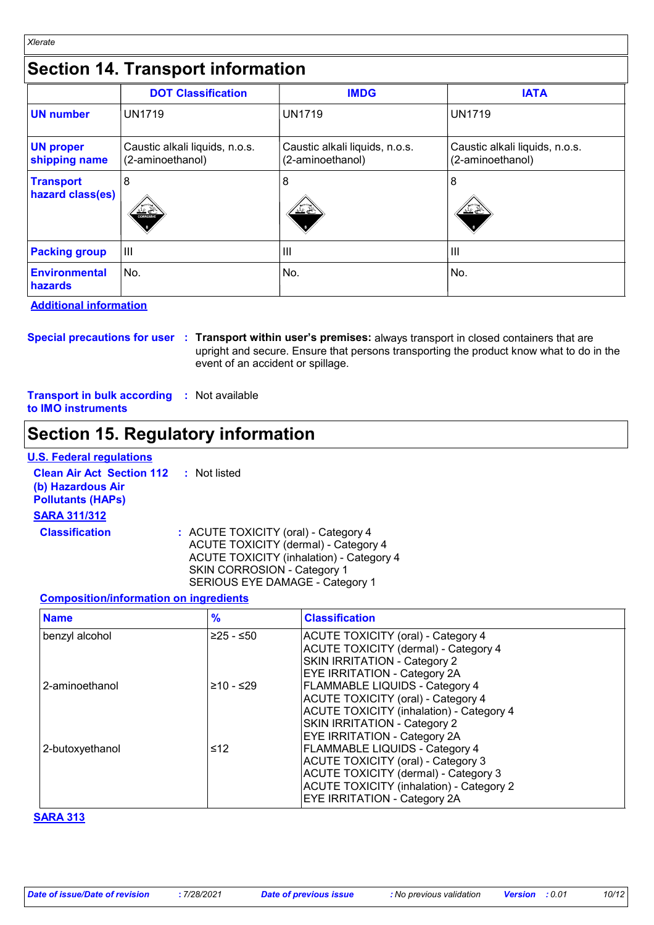# **Section 14. Transport information**

|                                      | <b>DOT Classification</b>                          | <b>IMDG</b>                                        | <b>IATA</b>                                        |
|--------------------------------------|----------------------------------------------------|----------------------------------------------------|----------------------------------------------------|
| <b>UN</b> number                     | <b>UN1719</b>                                      | <b>UN1719</b>                                      | <b>UN1719</b>                                      |
| <b>UN proper</b><br>shipping name    | Caustic alkali liquids, n.o.s.<br>(2-aminoethanol) | Caustic alkali liquids, n.o.s.<br>(2-aminoethanol) | Caustic alkali liquids, n.o.s.<br>(2-aminoethanol) |
| <b>Transport</b><br>hazard class(es) | 8<br>مختلف کنند<br><b>CORROS VE</b>                | 8<br>╩∠╩                                           | 8<br><u>(F)</u>                                    |
| <b>Packing group</b>                 | $\mathbf{III}$                                     | $\mathbf{III}$                                     | $\mathbf{III}$                                     |
| Environmental<br>hazards             | No.                                                | l No.                                              | No.                                                |

**Additional information** 

*Xlerate*

**Special precautions for user Transport within user's premises:** always transport in closed containers that are **:** upright and secure. Ensure that persons transporting the product know what to do in the event of an accident or spillage.

**Transport in bulk according :** Not available **to IMO instruments**

### **Section 15. Regulatory information**

#### **U.S. Federal regulations**

**Clean Air Act Section 112 (b) Hazardous Air Pollutants (HAPs) :** Not listed **SARA 311/312 Classification :** ACUTE TOXICITY (oral) - Category 4

ACUTE TOXICITY (dermal) - Category 4 ACUTE TOXICITY (inhalation) - Category 4 SKIN CORROSION - Category 1 SERIOUS EYE DAMAGE - Category 1

#### **Composition/information on ingredients**

| <b>Name</b>     | $\frac{9}{6}$ | <b>Classification</b>                                                       |
|-----------------|---------------|-----------------------------------------------------------------------------|
| benzyl alcohol  | $≥25 - ≤50$   | <b>ACUTE TOXICITY (oral) - Category 4</b>                                   |
|                 |               | <b>ACUTE TOXICITY (dermal) - Category 4</b><br>SKIN IRRITATION - Category 2 |
|                 |               | <b>EYE IRRITATION - Category 2A</b>                                         |
| 2-aminoethanol  | $≥10 - ≤29$   | FLAMMABLE LIQUIDS - Category 4                                              |
|                 |               | <b>ACUTE TOXICITY (oral) - Category 4</b>                                   |
|                 |               | <b>ACUTE TOXICITY (inhalation) - Category 4</b>                             |
|                 |               | SKIN IRRITATION - Category 2                                                |
|                 |               | <b>EYE IRRITATION - Category 2A</b>                                         |
| 2-butoxyethanol | ≤12           | FLAMMABLE LIQUIDS - Category 4                                              |
|                 |               | <b>ACUTE TOXICITY (oral) - Category 3</b>                                   |
|                 |               | <b>ACUTE TOXICITY (dermal) - Category 3</b>                                 |
|                 |               | <b>ACUTE TOXICITY (inhalation) - Category 2</b>                             |
|                 |               | <b>EYE IRRITATION - Category 2A</b>                                         |

#### **SARA 313**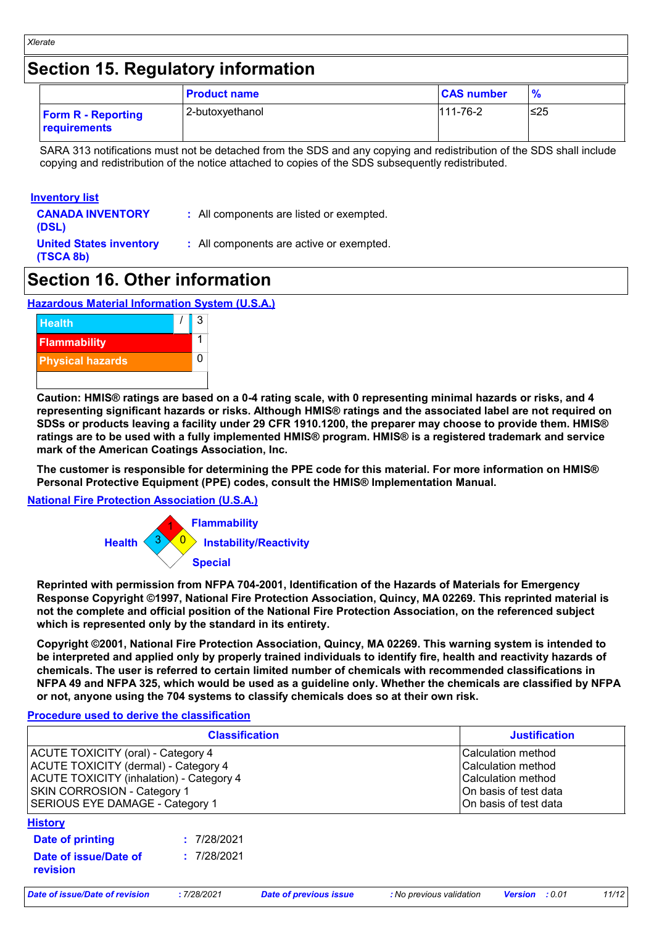## **Section 15. Regulatory information**

|                                           | <b>Product name</b> | <b>CAS number</b> | $\frac{9}{6}$ |
|-------------------------------------------|---------------------|-------------------|---------------|
| <b>Form R - Reporting</b><br>requirements | 2-butoxyethanol     | $111 - 76 - 2$    | $\leq$ 25     |

SARA 313 notifications must not be detached from the SDS and any copying and redistribution of the SDS shall include copying and redistribution of the notice attached to copies of the SDS subsequently redistributed.

#### **Inventory list**

- **CANADA INVENTORY (DSL)**
- **:** All components are listed or exempted.
- **United States inventory (TSCA 8b)**
- **:** All components are active or exempted.

### **Section 16. Other information**

#### **Hazardous Material Information System (U.S.A.)**



**Caution: HMIS® ratings are based on a 0-4 rating scale, with 0 representing minimal hazards or risks, and 4 representing significant hazards or risks. Although HMIS® ratings and the associated label are not required on SDSs or products leaving a facility under 29 CFR 1910.1200, the preparer may choose to provide them. HMIS® ratings are to be used with a fully implemented HMIS® program. HMIS® is a registered trademark and service mark of the American Coatings Association, Inc.**

**The customer is responsible for determining the PPE code for this material. For more information on HMIS® Personal Protective Equipment (PPE) codes, consult the HMIS® Implementation Manual.**

#### **National Fire Protection Association (U.S.A.)**



**Reprinted with permission from NFPA 704-2001, Identification of the Hazards of Materials for Emergency Response Copyright ©1997, National Fire Protection Association, Quincy, MA 02269. This reprinted material is not the complete and official position of the National Fire Protection Association, on the referenced subject which is represented only by the standard in its entirety.**

**Copyright ©2001, National Fire Protection Association, Quincy, MA 02269. This warning system is intended to be interpreted and applied only by properly trained individuals to identify fire, health and reactivity hazards of chemicals. The user is referred to certain limited number of chemicals with recommended classifications in NFPA 49 and NFPA 325, which would be used as a guideline only. Whether the chemicals are classified by NFPA or not, anyone using the 704 systems to classify chemicals does so at their own risk.**

#### **Procedure used to derive the classification**

| <b>Classification</b>                                                                                                                                                                                                |             |                               |                          | <b>Justification</b>                                                                                             |       |  |
|----------------------------------------------------------------------------------------------------------------------------------------------------------------------------------------------------------------------|-------------|-------------------------------|--------------------------|------------------------------------------------------------------------------------------------------------------|-------|--|
| <b>ACUTE TOXICITY (oral) - Category 4</b><br>ACUTE TOXICITY (dermal) - Category 4<br><b>ACUTE TOXICITY (inhalation) - Category 4</b><br><b>SKIN CORROSION - Category 1</b><br><b>SERIOUS EYE DAMAGE - Category 1</b> |             |                               |                          | Calculation method<br>Calculation method<br>Calculation method<br>On basis of test data<br>On basis of test data |       |  |
| <b>History</b>                                                                                                                                                                                                       |             |                               |                          |                                                                                                                  |       |  |
| Date of printing                                                                                                                                                                                                     | : 7/28/2021 |                               |                          |                                                                                                                  |       |  |
| Date of issue/Date of<br>revision                                                                                                                                                                                    | : 7/28/2021 |                               |                          |                                                                                                                  |       |  |
| Date of issue/Date of revision                                                                                                                                                                                       | :7/28/2021  | <b>Date of previous issue</b> | : No previous validation | <b>Version</b> : 0.01                                                                                            | 11/12 |  |